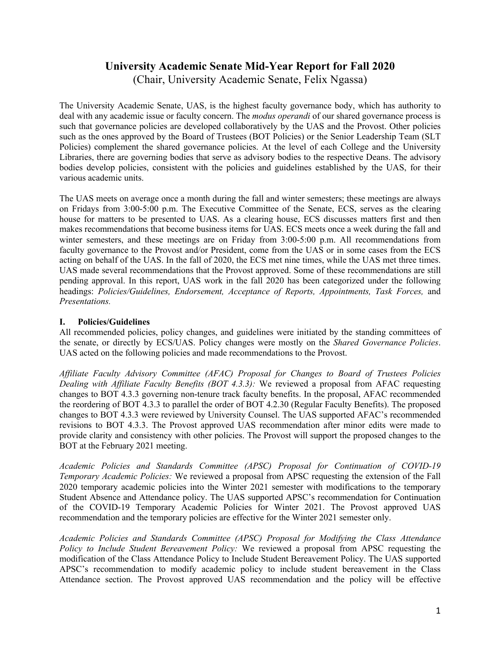# **University Academic Senate Mid-Year Report for Fall 2020** (Chair, University Academic Senate, Felix Ngassa)

The University Academic Senate, UAS, is the highest faculty governance body, which has authority to deal with any academic issue or faculty concern. The *modus operandi* of our shared governance process is such that governance policies are developed collaboratively by the UAS and the Provost. Other policies such as the ones approved by the Board of Trustees (BOT Policies) or the Senior Leadership Team (SLT Policies) complement the shared governance policies. At the level of each College and the University Libraries, there are governing bodies that serve as advisory bodies to the respective Deans. The advisory bodies develop policies, consistent with the policies and guidelines established by the UAS, for their various academic units.

The UAS meets on average once a month during the fall and winter semesters; these meetings are always on Fridays from 3:00-5:00 p.m. The Executive Committee of the Senate, ECS, serves as the clearing house for matters to be presented to UAS. As a clearing house, ECS discusses matters first and then makes recommendations that become business items for UAS. ECS meets once a week during the fall and winter semesters, and these meetings are on Friday from 3:00-5:00 p.m. All recommendations from faculty governance to the Provost and/or President, come from the UAS or in some cases from the ECS acting on behalf of the UAS. In the fall of 2020, the ECS met nine times, while the UAS met three times. UAS made several recommendations that the Provost approved. Some of these recommendations are still pending approval. In this report, UAS work in the fall 2020 has been categorized under the following headings: *Policies/Guidelines, Endorsement, Acceptance of Reports, Appointments, Task Forces,* and *Presentations.*

## **I. Policies/Guidelines**

All recommended policies, policy changes, and guidelines were initiated by the standing committees of the senate, or directly by ECS/UAS. Policy changes were mostly on the *Shared Governance Policies*. UAS acted on the following policies and made recommendations to the Provost.

*Affiliate Faculty Advisory Committee (AFAC) Proposal for Changes to Board of Trustees Policies Dealing with Affiliate Faculty Benefits (BOT 4.3.3):* We reviewed a proposal from AFAC requesting changes to BOT 4.3.3 governing non-tenure track faculty benefits. In the proposal, AFAC recommended the reordering of BOT 4.3.3 to parallel the order of BOT 4.2.30 (Regular Faculty Benefits). The proposed changes to BOT 4.3.3 were reviewed by University Counsel. The UAS supported AFAC's recommended revisions to BOT 4.3.3. The Provost approved UAS recommendation after minor edits were made to provide clarity and consistency with other policies. The Provost will support the proposed changes to the BOT at the February 2021 meeting.

*Academic Policies and Standards Committee (APSC) Proposal for Continuation of COVID-19 Temporary Academic Policies:* We reviewed a proposal from APSC requesting the extension of the Fall 2020 temporary academic policies into the Winter 2021 semester with modifications to the temporary Student Absence and Attendance policy. The UAS supported APSC's recommendation for Continuation of the COVID-19 Temporary Academic Policies for Winter 2021. The Provost approved UAS recommendation and the temporary policies are effective for the Winter 2021 semester only.

*Academic Policies and Standards Committee (APSC) Proposal for Modifying the Class Attendance Policy to Include Student Bereavement Policy:* We reviewed a proposal from APSC requesting the modification of the Class Attendance Policy to Include Student Bereavement Policy. The UAS supported APSC's recommendation to modify academic policy to include student bereavement in the Class Attendance section. The Provost approved UAS recommendation and the policy will be effective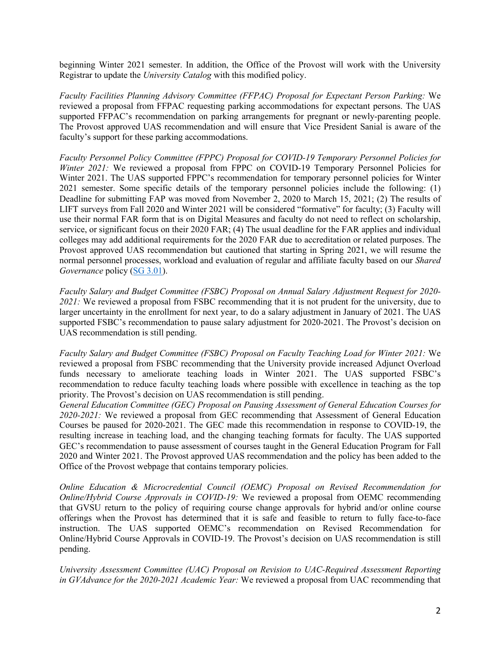beginning Winter 2021 semester. In addition, the Office of the Provost will work with the University Registrar to update the *University Catalog* with this modified policy.

*Faculty Facilities Planning Advisory Committee (FFPAC) Proposal for Expectant Person Parking:* We reviewed a proposal from FFPAC requesting parking accommodations for expectant persons. The UAS supported FFPAC's recommendation on parking arrangements for pregnant or newly-parenting people. The Provost approved UAS recommendation and will ensure that Vice President Sanial is aware of the faculty's support for these parking accommodations.

*Faculty Personnel Policy Committee (FPPC) Proposal for COVID-19 Temporary Personnel Policies for Winter 2021:* We reviewed a proposal from FPPC on COVID-19 Temporary Personnel Policies for Winter 2021. The UAS supported FPPC's recommendation for temporary personnel policies for Winter 2021 semester. Some specific details of the temporary personnel policies include the following: (1) Deadline for submitting FAP was moved from November 2, 2020 to March 15, 2021; (2) The results of LIFT surveys from Fall 2020 and Winter 2021 will be considered "formative" for faculty; (3) Faculty will use their normal FAR form that is on Digital Measures and faculty do not need to reflect on scholarship, service, or significant focus on their 2020 FAR; (4) The usual deadline for the FAR applies and individual colleges may add additional requirements for the 2020 FAR due to accreditation or related purposes. The Provost approved UAS recommendation but cautioned that starting in Spring 2021, we will resume the normal personnel processes, workload and evaluation of regular and affiliate faculty based on our *Shared Governance* policy (SG 3.01).

*Faculty Salary and Budget Committee (FSBC) Proposal on Annual Salary Adjustment Request for 2020- 2021:* We reviewed a proposal from FSBC recommending that it is not prudent for the university, due to larger uncertainty in the enrollment for next year, to do a salary adjustment in January of 2021. The UAS supported FSBC's recommendation to pause salary adjustment for 2020-2021. The Provost's decision on UAS recommendation is still pending.

*Faculty Salary and Budget Committee (FSBC) Proposal on Faculty Teaching Load for Winter 2021:* We reviewed a proposal from FSBC recommending that the University provide increased Adjunct Overload funds necessary to ameliorate teaching loads in Winter 2021. The UAS supported FSBC's recommendation to reduce faculty teaching loads where possible with excellence in teaching as the top priority. The Provost's decision on UAS recommendation is still pending.

*General Education Committee (GEC) Proposal on Pausing Assessment of General Education Courses for 2020-2021:* We reviewed a proposal from GEC recommending that Assessment of General Education Courses be paused for 2020-2021. The GEC made this recommendation in response to COVID-19, the resulting increase in teaching load, and the changing teaching formats for faculty. The UAS supported GEC's recommendation to pause assessment of courses taught in the General Education Program for Fall 2020 and Winter 2021. The Provost approved UAS recommendation and the policy has been added to the Office of the Provost webpage that contains temporary policies.

*Online Education & Microcredential Council (OEMC) Proposal on Revised Recommendation for Online/Hybrid Course Approvals in COVID-19:* We reviewed a proposal from OEMC recommending that GVSU return to the policy of requiring course change approvals for hybrid and/or online course offerings when the Provost has determined that it is safe and feasible to return to fully face-to-face instruction. The UAS supported OEMC's recommendation on Revised Recommendation for Online/Hybrid Course Approvals in COVID-19. The Provost's decision on UAS recommendation is still pending.

*University Assessment Committee (UAC) Proposal on Revision to UAC-Required Assessment Reporting in GVAdvance for the 2020-2021 Academic Year:* We reviewed a proposal from UAC recommending that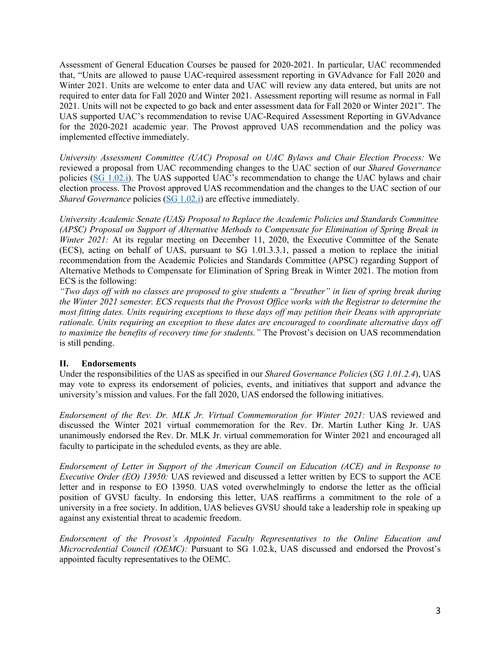Assessment of General Education Courses be paused for 2020-2021. In particular, UAC recommended that, "Units are allowed to pause UAC-required assessment reporting in GVAdvance for Fall 2020 and Winter 2021. Units are welcome to enter data and UAC will review any data entered, but units are not required to enter data for Fall 2020 and Winter 2021. Assessment reporting will resume as normal in Fall 2021. Units will not be expected to go back and enter assessment data for Fall 2020 or Winter 2021". The UAS supported UAC's recommendation to revise UAC-Required Assessment Reporting in GVAdvance for the 2020-2021 academic year. The Provost approved UAS recommendation and the policy was implemented effective immediately.

*University Assessment Committee (UAC) Proposal on UAC Bylaws and Chair Election Process:* We reviewed a proposal from UAC recommending changes to the UAC section of our *Shared Governance* policies (SG 1.02.i). The UAS supported UAC's recommendation to change the UAC bylaws and chair election process. The Provost approved UAS recommendation and the changes to the UAC section of our *Shared Governance* policies (SG 1.02.i) are effective immediately.

*University Academic Senate (UAS) Proposal to Replace the Academic Policies and Standards Committee (APSC) Proposal on Support of Alternative Methods to Compensate for Elimination of Spring Break in Winter 2021:* At its regular meeting on December 11, 2020, the Executive Committee of the Senate (ECS), acting on behalf of UAS, pursuant to SG 1.01.3.3.1, passed a motion to replace the initial recommendation from the Academic Policies and Standards Committee (APSC) regarding Support of Alternative Methods to Compensate for Elimination of Spring Break in Winter 2021. The motion from ECS is the following:

*"Two days off with no classes are proposed to give students a "breather" in lieu of spring break during the Winter 2021 semester. ECS requests that the Provost Office works with the Registrar to determine the most fitting dates. Units requiring exceptions to these days off may petition their Deans with appropriate rationale. Units requiring an exception to these dates are encouraged to coordinate alternative days off to maximize the benefits of recovery time for students."* The Provost's decision on UAS recommendation is still pending.

# **II. Endorsements**

Under the responsibilities of the UAS as specified in our *Shared Governance Policies* (*SG 1.01.2.4*), UAS may vote to express its endorsement of policies, events, and initiatives that support and advance the university's mission and values. For the fall 2020, UAS endorsed the following initiatives.

*Endorsement of the Rev. Dr. MLK Jr. Virtual Commemoration for Winter 2021:* UAS reviewed and discussed the Winter 2021 virtual commemoration for the Rev. Dr. Martin Luther King Jr. UAS unanimously endorsed the Rev. Dr. MLK Jr. virtual commemoration for Winter 2021 and encouraged all faculty to participate in the scheduled events, as they are able.

*Endorsement of Letter in Support of the American Council on Education (ACE) and in Response to Executive Order (EO) 13950:* UAS reviewed and discussed a letter written by ECS to support the ACE letter and in response to EO 13950. UAS voted overwhelmingly to endorse the letter as the official position of GVSU faculty. In endorsing this letter, UAS reaffirms a commitment to the role of a university in a free society. In addition, UAS believes GVSU should take a leadership role in speaking up against any existential threat to academic freedom.

*Endorsement of the Provost's Appointed Faculty Representatives to the Online Education and Microcredential Council (OEMC):* Pursuant to SG 1.02.k, UAS discussed and endorsed the Provost's appointed faculty representatives to the OEMC.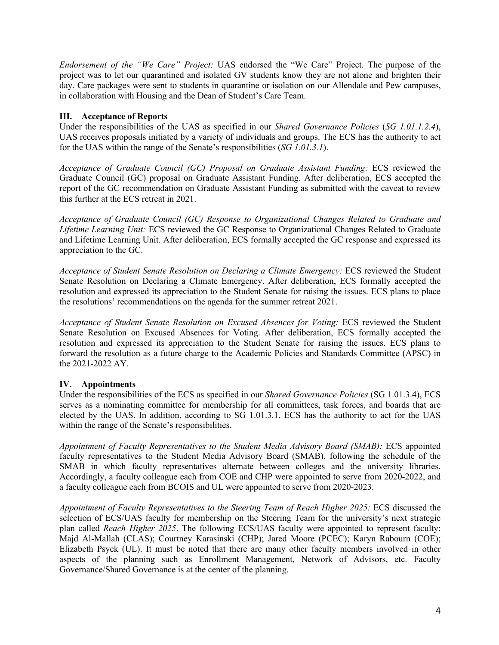*Endorsement of the "We Care" Project:* UAS endorsed the "We Care" Project. The purpose of the project was to let our quarantined and isolated GV students know they are not alone and brighten their day. Care packages were sent to students in quarantine or isolation on our Allendale and Pew campuses, in collaboration with Housing and the Dean of Student's Care Team.

## **III. Acceptance of Reports**

Under the responsibilities of the UAS as specified in our *Shared Governance Policies* (*SG 1.01.1.2.4*), UAS receives proposals initiated by a variety of individuals and groups. The ECS has the authority to act for the UAS within the range of the Senate's responsibilities (*SG 1.01.3.1*).

*Acceptance of Graduate Council (GC) Proposal on Graduate Assistant Funding:* ECS reviewed the Graduate Council (GC) proposal on Graduate Assistant Funding. After deliberation, ECS accepted the report of the GC recommendation on Graduate Assistant Funding as submitted with the caveat to review this further at the ECS retreat in 2021.

*Acceptance of Graduate Council (GC) Response to Organizational Changes Related to Graduate and Lifetime Learning Unit:* ECS reviewed the GC Response to Organizational Changes Related to Graduate and Lifetime Learning Unit. After deliberation, ECS formally accepted the GC response and expressed its appreciation to the GC.

*Acceptance of Student Senate Resolution on Declaring a Climate Emergency:* ECS reviewed the Student Senate Resolution on Declaring a Climate Emergency. After deliberation, ECS formally accepted the resolution and expressed its appreciation to the Student Senate for raising the issues. ECS plans to place the resolutions' recommendations on the agenda for the summer retreat 2021.

*Acceptance of Student Senate Resolution on Excused Absences for Voting:* ECS reviewed the Student Senate Resolution on Excused Absences for Voting. After deliberation, ECS formally accepted the resolution and expressed its appreciation to the Student Senate for raising the issues. ECS plans to forward the resolution as a future charge to the Academic Policies and Standards Committee (APSC) in the 2021-2022 AY.

### **IV. Appointments**

Under the responsibilities of the ECS as specified in our *Shared Governance Policies* (SG 1.01.3.4), ECS serves as a nominating committee for membership for all committees, task forces, and boards that are elected by the UAS. In addition, according to SG 1.01.3.1, ECS has the authority to act for the UAS within the range of the Senate's responsibilities.

*Appointment of Faculty Representatives to the Student Media Advisory Board (SMAB):* ECS appointed faculty representatives to the Student Media Advisory Board (SMAB), following the schedule of the SMAB in which faculty representatives alternate between colleges and the university libraries. Accordingly, a faculty colleague each from COE and CHP were appointed to serve from 2020-2022, and a faculty colleague each from BCOIS and UL were appointed to serve from 2020-2023.

*Appointment of Faculty Representatives to the Steering Team of Reach Higher 2025:* ECS discussed the selection of ECS/UAS faculty for membership on the Steering Team for the university's next strategic plan called *Reach Higher 2025*. The following ECS/UAS faculty were appointed to represent faculty: Majd Al-Mallah (CLAS); Courtney Karasinski (CHP); Jared Moore (PCEC); Karyn Rabourn (COE); Elizabeth Psyck (UL). It must be noted that there are many other faculty members involved in other aspects of the planning such as Enrollment Management, Network of Advisors, etc. Faculty Governance/Shared Governance is at the center of the planning.